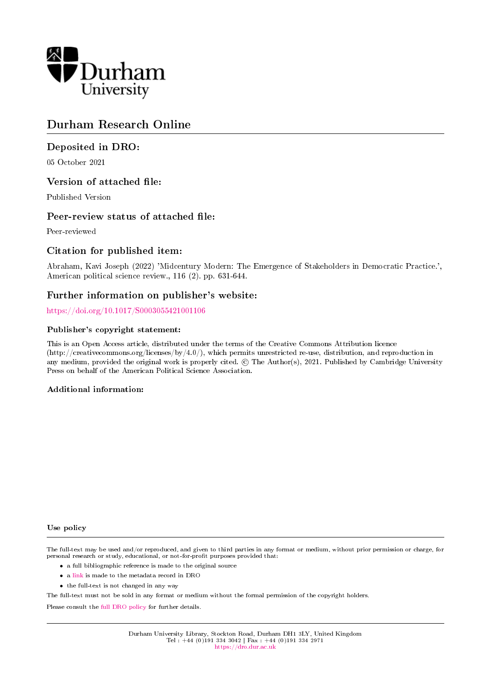

# Durham Research Online

# Deposited in DRO:

05 October 2021

# Version of attached file:

Published Version

# Peer-review status of attached file:

Peer-reviewed

# Citation for published item:

Abraham, Kavi Joseph (2022) 'Midcentury Modern: The Emergence of Stakeholders in Democratic Practice.', American political science review., 116 (2). pp. 631-644.

# Further information on publisher's website:

<https://doi.org/10.1017/S0003055421001106>

#### Publisher's copyright statement:

This is an Open Access article, distributed under the terms of the Creative Commons Attribution licence (http://creativecommons.org/licenses/by/4.0/), which permits unrestricted re-use, distribution, and reproduction in any medium, provided the original work is properly cited. © The Author(s), 2021. Published by Cambridge University Press on behalf of the American Political Science Association.

# Additional information:

#### Use policy

The full-text may be used and/or reproduced, and given to third parties in any format or medium, without prior permission or charge, for personal research or study, educational, or not-for-profit purposes provided that:

- a full bibliographic reference is made to the original source
- a [link](http://dro.dur.ac.uk/34061/) is made to the metadata record in DRO
- the full-text is not changed in any way

The full-text must not be sold in any format or medium without the formal permission of the copyright holders.

Please consult the [full DRO policy](https://dro.dur.ac.uk/policies/usepolicy.pdf) for further details.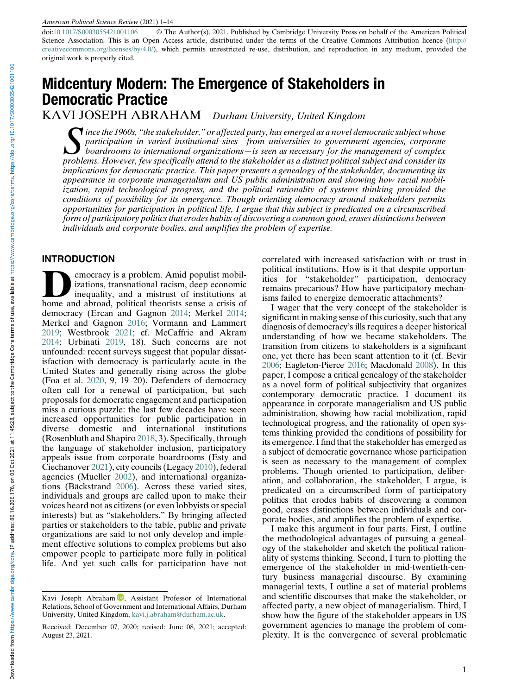doi:[10.1017/S0003055421001106](https://doi.org/10.1017/S0003055421001106) © The Author(s), 2021. Published by Cambridge University Press on behalf of the American Political Science Association. This is an Open Access article, distributed under the terms of the Creative Commons Attribution licence ([http://](http://creativecommons.org/licenses/by/4.0/) [creativecommons.org/licenses/by/4.0/\)](http://creativecommons.org/licenses/by/4.0/), which permits unrestricted re-use, distribution, and reproduction in any medium, provided the original work is properly cited.

# Midcentury Modern: The Emergence of Stakeholders in Democratic Practice

KAVI JOSEPH ABRAHAM Durham University, United Kingdom

Since the 1960s, "the stakeholder," or affected party, has emerged as a novel democratic subject whose<br>participation in varied institutional sites—from universities to government agencies, corporate<br>boardrooms to internati participation in varied institutional sites—from universities to government agencies, corporate problems. However, few specifically attend to the stakeholder as a distinct political subject and consider its implications for democratic practice. This paper presents a genealogy of the stakeholder, documenting its appearance in corporate managerialism and US public administration and showing how racial mobilization, rapid technological progress, and the political rationality of systems thinking provided the conditions of possibility for its emergence. Though orienting democracy around stakeholders permits opportunities for participation in political life, I argue that this subject is predicated on a circumscribed form of participatory politics that erodes habits of discovering a common good, erases distinctions between individuals and corporate bodies, and amplifies the problem of expertise.

#### INTRODUCTION

emocracy is a problem. Amid populist mobilizations, transnational racism, deep economic inequality, and a mistrust of institutions at home and abroad, political theorists sense a crisis of democracy (Ercan and Gagnon 2014; Merkel 2014; Merkel and Gagnon 2016; Vormann and Lammert 2019; Westbrook 2021; cf. McCaffrie and Akram 2014; Urbinati 2019, 18). Such concerns are not unfounded: recent surveys suggest that popular dissatisfaction with democracy is particularly acute in the United States and generally rising across the globe (Foa et al. 2020, 9, 19–20). Defenders of democracy often call for a renewal of participation, but such proposals for democratic engagement and participation miss a curious puzzle: the last few decades have seen increased opportunities for public participation in diverse domestic and international institutions (Rosenbluth and Shapiro 2018, 3). Specifically, through the language of stakeholder inclusion, participatory appeals issue from corporate boardrooms (Esty and Ciechanover 2021), city councils (Legacy 2010), federal agencies (Mueller 2002), and international organizations (Bäckstrand 2006). Across these varied sites, individuals and groups are called upon to make their voices heard not as citizens (or even lobbyists or special interests) but as "stakeholders." By bringing affected parties or stakeholders to the table, public and private organizations are said to not only develop and implement effective solutions to complex problems but also empower people to participate more fully in political life. And yet such calls for participation have not correlated with increased satisfaction with or trust in political institutions. How is it that despite opportunities for "stakeholder" participation, democracy remains precarious? How have participatory mechanisms failed to energize democratic attachments?

I wager that the very concept of the stakeholder is significant in making sense of this curiosity, such that any diagnosis of democracy's ills requires a deeper historical understanding of how we became stakeholders. The transition from citizens to stakeholders is a significant one, yet there has been scant attention to it (cf. Bevir 2006; Eagleton-Pierce 2016; Macdonald 2008). In this paper, I compose a critical genealogy of the stakeholder as a novel form of political subjectivity that organizes contemporary democratic practice. I document its appearance in corporate managerialism and US public administration, showing how racial mobilization, rapid technological progress, and the rationality of open systems thinking provided the conditions of possibility for its emergence. I find that the stakeholder has emerged as a subject of democratic governance whose participation is seen as necessary to the management of complex problems. Though oriented to participation, deliberation, and collaboration, the stakeholder, I argue, is predicated on a circumscribed form of participatory politics that erodes habits of discovering a common good, erases distinctions between individuals and corporate bodies, and amplifies the problem of expertise.

I make this argument in four parts. First, I outline the methodological advantages of pursuing a genealogy of the stakeholder and sketch the political rationality of systems thinking. Second, I turn to plotting the emergence of the stakeholder in mid-twentieth-century business managerial discourse. By examining managerial texts, I outline a set of material problems and scientific discourses that make the stakeholder, or affected party, a new object of managerialism. Third, I show how the figure of the stakeholder appears in US government agencies to manage the problem of complexity. It is the convergence of several problematic

Kavi Joseph Abraham  $\mathbb{D}$ [,](https://orcid.org/0000-0002-4885-2830) Assistant Professor of International Relations, School of Government and International Affairs, Durham University, United Kingdom, [kavi.j.abraham@durham.ac.uk.](mailto:kavi.j.abraham@durham.ac.uk)

Received: December 07, 2020; revised: June 08, 2021; accepted: August 23, 2021.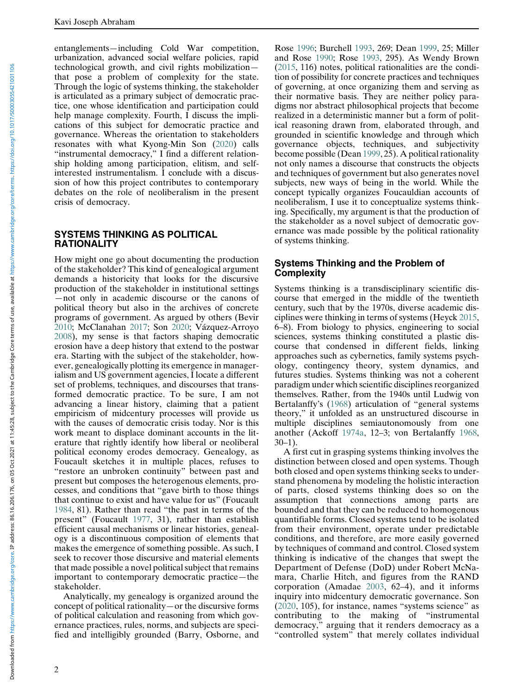entanglements—including Cold War competition, urbanization, advanced social welfare policies, rapid technological growth, and civil rights mobilization that pose a problem of complexity for the state. Through the logic of systems thinking, the stakeholder is articulated as a primary subject of democratic practice, one whose identification and participation could help manage complexity. Fourth, I discuss the implications of this subject for democratic practice and governance. Whereas the orientation to stakeholders resonates with what Kyong-Min Son (2020) calls "instrumental democracy," I find a different relationship holding among participation, elitism, and selfinterested instrumentalism. I conclude with a discussion of how this project contributes to contemporary debates on the role of neoliberalism in the present crisis of democracy.

#### SYSTEMS THINKING AS POLITICAL **RATIONALITY**

How might one go about documenting the production of the stakeholder? This kind of genealogical argument demands a historicity that looks for the discursive production of the stakeholder in institutional settings —not only in academic discourse or the canons of political theory but also in the archives of concrete programs of government. As argued by others (Bevir 2010; McClanahan 2017; Son 2020; Vázquez-Arroyo 2008), my sense is that factors shaping democratic erosion have a deep history that extend to the postwar era. Starting with the subject of the stakeholder, however, genealogically plotting its emergence in managerialism and US government agencies, I locate a different set of problems, techniques, and discourses that transformed democratic practice. To be sure, I am not advancing a linear history, claiming that a patient empiricism of midcentury processes will provide us with the causes of democratic crisis today. Nor is this work meant to displace dominant accounts in the literature that rightly identify how liberal or neoliberal political economy erodes democracy. Genealogy, as Foucault sketches it in multiple places, refuses to "restore an unbroken continuity" between past and present but composes the heterogenous elements, processes, and conditions that "gave birth to those things that continue to exist and have value for us" (Foucault 1984, 81). Rather than read "the past in terms of the present" (Foucault 1977, 31), rather than establish efficient causal mechanisms or linear histories, genealogy is a discontinuous composition of elements that makes the emergence of something possible. As such, I seek to recover those discursive and material elements that made possible a novel political subject that remains important to contemporary democratic practice—the stakeholder.

Analytically, my genealogy is organized around the concept of political rationality—or the discursive forms of political calculation and reasoning from which governance practices, rules, norms, and subjects are specified and intelligibly grounded (Barry, Osborne, and Rose 1996; Burchell 1993, 269; Dean 1999, 25; Miller and Rose 1990; Rose 1993, 295). As Wendy Brown (2015, 116) notes, political rationalities are the condition of possibility for concrete practices and techniques of governing, at once organizing them and serving as their normative basis. They are neither policy paradigms nor abstract philosophical projects that become realized in a deterministic manner but a form of political reasoning drawn from, elaborated through, and grounded in scientific knowledge and through which governance objects, techniques, and subjectivity become possible (Dean 1999, 25). A political rationality not only names a discourse that constructs the objects and techniques of government but also generates novel subjects, new ways of being in the world. While the concept typically organizes Foucauldian accounts of neoliberalism, I use it to conceptualize systems thinking. Specifically, my argument is that the production of the stakeholder as a novel subject of democratic governance was made possible by the political rationality of systems thinking.

# Systems Thinking and the Problem of Complexity

Systems thinking is a transdisciplinary scientific discourse that emerged in the middle of the twentieth century, such that by the 1970s, diverse academic disciplines were thinking in terms of systems (Heyck 2015, 6–8). From biology to physics, engineering to social sciences, systems thinking constituted a plastic discourse that condensed in different fields, linking approaches such as cybernetics, family systems psychology, contingency theory, system dynamics, and futures studies. Systems thinking was not a coherent paradigm under which scientific disciplines reorganized themselves. Rather, from the 1940s until Ludwig von Bertalanffy's (1968) articulation of "general systems theory," it unfolded as an unstructured discourse in multiple disciplines semiautonomously from one another (Ackoff 1974a, 12–3; von Bertalanffy 1968, 30–1).

A first cut in grasping systems thinking involves the distinction between closed and open systems. Though both closed and open systems thinking seeks to understand phenomena by modeling the holistic interaction of parts, closed systems thinking does so on the assumption that connections among parts are bounded and that they can be reduced to homogenous quantifiable forms. Closed systems tend to be isolated from their environment, operate under predictable conditions, and therefore, are more easily governed by techniques of command and control. Closed system thinking is indicative of the changes that swept the Department of Defense (DoD) under Robert McNamara, Charlie Hitch, and figures from the RAND corporation (Amadae 2003, 62–4), and it informs inquiry into midcentury democratic governance. Son (2020, 105), for instance, names "systems science" as contributing to the making of "instrumental democracy," arguing that it renders democracy as a "controlled system" that merely collates individual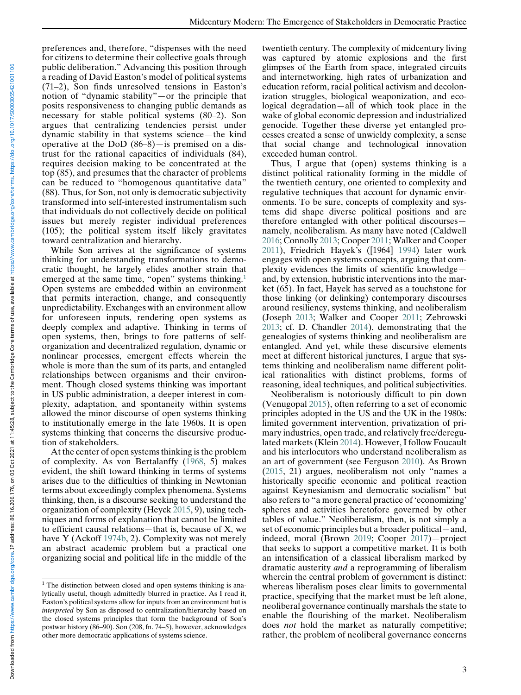preferences and, therefore, "dispenses with the need for citizens to determine their collective goals through public deliberation." Advancing this position through a reading of David Easton's model of political systems (71–2), Son finds unresolved tensions in Easton's notion of "dynamic stability"—or the principle that posits responsiveness to changing public demands as necessary for stable political systems (80–2). Son argues that centralizing tendencies persist under dynamic stability in that systems science—the kind operative at the DoD (86–8)—is premised on a distrust for the rational capacities of individuals (84), requires decision making to be concentrated at the top (85), and presumes that the character of problems can be reduced to "homogenous quantitative data" (88). Thus, for Son, not only is democratic subjectivity transformed into self-interested instrumentalism such that individuals do not collectively decide on political issues but merely register individual preferences (105); the political system itself likely gravitates toward centralization and hierarchy.

While Son arrives at the significance of systems thinking for understanding transformations to democratic thought, he largely elides another strain that emerged at the same time, "open" systems thinking.<sup>1</sup> Open systems are embedded within an environment that permits interaction, change, and consequently unpredictability. Exchanges with an environment allow for unforeseen inputs, rendering open systems as deeply complex and adaptive. Thinking in terms of open systems, then, brings to fore patterns of selforganization and decentralized regulation, dynamic or nonlinear processes, emergent effects wherein the whole is more than the sum of its parts, and entangled relationships between organisms and their environment. Though closed systems thinking was important in US public administration, a deeper interest in complexity, adaptation, and spontaneity within systems allowed the minor discourse of open systems thinking to institutionally emerge in the late 1960s. It is open systems thinking that concerns the discursive production of stakeholders.

At the center of open systems thinking is the problem of complexity. As von Bertalanffy (1968, 5) makes evident, the shift toward thinking in terms of systems arises due to the difficulties of thinking in Newtonian terms about exceedingly complex phenomena. Systems thinking, then, is a discourse seeking to understand the organization of complexity (Heyck 2015, 9), using techniques and forms of explanation that cannot be limited to efficient causal relations—that is, because of X, we have Y (Ackoff 1974b, 2). Complexity was not merely an abstract academic problem but a practical one organizing social and political life in the middle of the

twentieth century. The complexity of midcentury living was captured by atomic explosions and the first glimpses of the Earth from space, integrated circuits and internetworking, high rates of urbanization and education reform, racial political activism and decolonization struggles, biological weaponization, and ecological degradation—all of which took place in the wake of global economic depression and industrialized genocide. Together these diverse yet entangled processes created a sense of unwieldy complexity, a sense that social change and technological innovation exceeded human control.

Thus, I argue that (open) systems thinking is a distinct political rationality forming in the middle of the twentieth century, one oriented to complexity and regulative techniques that account for dynamic environments. To be sure, concepts of complexity and systems did shape diverse political positions and are therefore entangled with other political discourses namely, neoliberalism. As many have noted (Caldwell 2016; Connolly 2013; Cooper 2011; Walker and Cooper 2011), Friedrich Hayek's ([1964] 1994) later work engages with open systems concepts, arguing that complexity evidences the limits of scientific knowledge and, by extension, hubristic interventions into the market (65). In fact, Hayek has served as a touchstone for those linking (or delinking) contemporary discourses around resiliency, systems thinking, and neoliberalism (Joseph 2013; Walker and Cooper 2011; Zebrowski 2013; cf. D. Chandler 2014), demonstrating that the genealogies of systems thinking and neoliberalism are entangled. And yet, while these discursive elements meet at different historical junctures, I argue that systems thinking and neoliberalism name different political rationalities with distinct problems, forms of reasoning, ideal techniques, and political subjectivities.

Neoliberalism is notoriously difficult to pin down (Venugopal 2015), often referring to a set of economic principles adopted in the US and the UK in the 1980s: limited government intervention, privatization of primary industries, open trade, and relatively free/deregulated markets (Klein 2014). However, I follow Foucault and his interlocutors who understand neoliberalism as an art of government (see Ferguson 2010). As Brown (2015, 21) argues, neoliberalism not only "names a historically specific economic and political reaction against Keynesianism and democratic socialism" but also refers to "a more general practice of 'economizing' spheres and activities heretofore governed by other tables of value." Neoliberalism, then, is not simply a set of economic principles but a broader political—and, indeed, moral (Brown 2019; Cooper 2017)—project that seeks to support a competitive market. It is both an intensification of a classical liberalism marked by dramatic austerity and a reprogramming of liberalism wherein the central problem of government is distinct: whereas liberalism poses clear limits to governmental practice, specifying that the market must be left alone, neoliberal governance continually marshals the state to enable the flourishing of the market. Neoliberalism does not hold the market as naturally competitive; rather, the problem of neoliberal governance concerns

 $1$  The distinction between closed and open systems thinking is analytically useful, though admittedly blurred in practice. As I read it, Easton's political systems allow for inputs from an environment but is interpreted by Son as disposed to centralization/hierarchy based on the closed systems principles that form the background of Son's postwar history (86–90). Son (208, fn. 74–5), however, acknowledges other more democratic applications of systems science.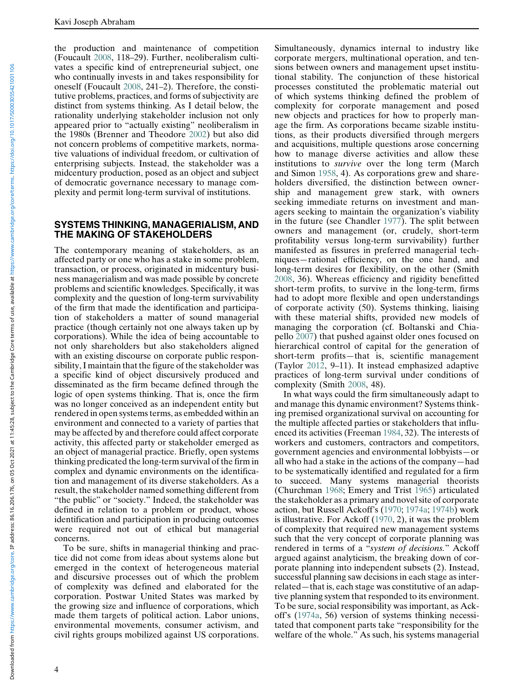the production and maintenance of competition (Foucault 2008, 118–29). Further, neoliberalism cultivates a specific kind of entrepreneurial subject, one who continually invests in and takes responsibility for oneself (Foucault 2008, 241–2). Therefore, the constitutive problems, practices, and forms of subjectivity are distinct from systems thinking. As I detail below, the rationality underlying stakeholder inclusion not only appeared prior to "actually existing" neoliberalism in the 1980s (Brenner and Theodore 2002) but also did not concern problems of competitive markets, normative valuations of individual freedom, or cultivation of enterprising subjects. Instead, the stakeholder was a midcentury production, posed as an object and subject of democratic governance necessary to manage complexity and permit long-term survival of institutions.

#### SYSTEMS THINKING, MANAGERIALISM, AND THE MAKING OF STAKEHOLDERS

The contemporary meaning of stakeholders, as an affected party or one who has a stake in some problem, transaction, or process, originated in midcentury business managerialism and was made possible by concrete problems and scientific knowledges. Specifically, it was complexity and the question of long-term survivability of the firm that made the identification and participation of stakeholders a matter of sound managerial practice (though certainly not one always taken up by corporations). While the idea of being accountable to not only shareholders but also stakeholders aligned with an existing discourse on corporate public responsibility, I maintain that the figure of the stakeholder was a specific kind of object discursively produced and disseminated as the firm became defined through the logic of open systems thinking. That is, once the firm was no longer conceived as an independent entity but rendered in open systems terms, as embedded within an environment and connected to a variety of parties that may be affected by and therefore could affect corporate activity, this affected party or stakeholder emerged as an object of managerial practice. Briefly, open systems thinking predicated the long-term survival of the firm in complex and dynamic environments on the identification and management of its diverse stakeholders. As a result, the stakeholder named something different from "the public" or "society." Indeed, the stakeholder was defined in relation to a problem or product, whose identification and participation in producing outcomes were required not out of ethical but managerial concerns.

To be sure, shifts in managerial thinking and practice did not come from ideas about systems alone but emerged in the context of heterogeneous material and discursive processes out of which the problem of complexity was defined and elaborated for the corporation. Postwar United States was marked by the growing size and influence of corporations, which made them targets of political action. Labor unions, environmental movements, consumer activism, and civil rights groups mobilized against US corporations.

Simultaneously, dynamics internal to industry like corporate mergers, multinational operation, and tensions between owners and management upset institutional stability. The conjunction of these historical processes constituted the problematic material out of which systems thinking defined the problem of complexity for corporate management and posed new objects and practices for how to properly manage the firm. As corporations became sizable institutions, as their products diversified through mergers and acquisitions, multiple questions arose concerning how to manage diverse activities and allow these institutions to survive over the long term (March and Simon 1958, 4). As corporations grew and shareholders diversified, the distinction between ownership and management grew stark, with owners seeking immediate returns on investment and managers seeking to maintain the organization's viability in the future (see Chandler 1977). The split between owners and management (or, crudely, short-term profitability versus long-term survivability) further manifested as fissures in preferred managerial techniques—rational efficiency, on the one hand, and long-term desires for flexibility, on the other (Smith 2008, 36). Whereas efficiency and rigidity benefitted short-term profits, to survive in the long-term, firms had to adopt more flexible and open understandings of corporate activity (50). Systems thinking, liaising with these material shifts, provided new models of managing the corporation (cf. Boltanski and Chiapello 2007) that pushed against older ones focused on hierarchical control of capital for the generation of short-term profits—that is, scientific management (Taylor 2012, 9–11). It instead emphasized adaptive practices of long-term survival under conditions of complexity (Smith 2008, 48).

In what ways could the firm simultaneously adapt to and manage this dynamic environment? Systems thinking premised organizational survival on accounting for the multiple affected parties or stakeholders that influenced its activities (Freeman 1984, 32). The interests of workers and customers, contractors and competitors, government agencies and environmental lobbyists—or all who had a stake in the actions of the company—had to be systematically identified and regulated for a firm to succeed. Many systems managerial theorists (Churchman 1968; Emery and Trist 1965) articulated the stakeholder as a primary and novel site of corporate action, but Russell Ackoff's (1970; 1974a; 1974b) work is illustrative. For Ackoff (1970, 2), it was the problem of complexity that required new management systems such that the very concept of corporate planning was rendered in terms of a "system of decisions." Ackoff argued against analyticism, the breaking down of corporate planning into independent subsets (2). Instead, successful planning saw decisions in each stage as interrelated—that is, each stage was constitutive of an adaptive planning system that responded to its environment. To be sure, social responsibility was important, as Ackoff's (1974a, 56) version of systems thinking necessitated that component parts take "responsibility for the welfare of the whole." As such, his systems managerial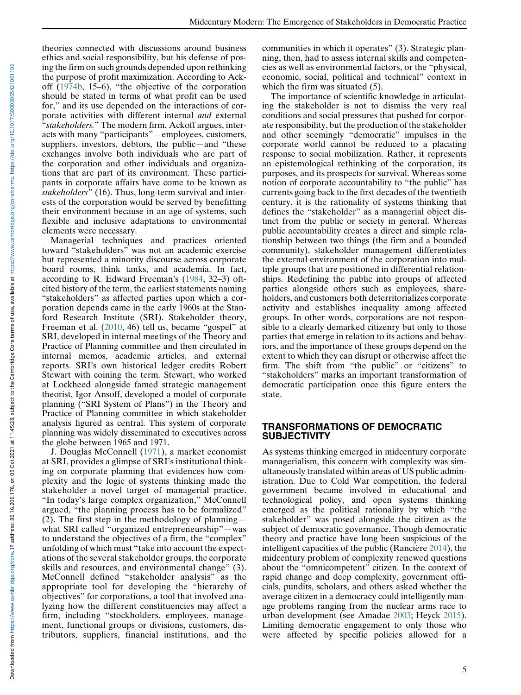theories connected with discussions around business ethics and social responsibility, but his defense of posing the firm on such grounds depended upon rethinking the purpose of profit maximization. According to Ackoff (1974b, 15–6), "the objective of the corporation should be stated in terms of what profit can be used for," and its use depended on the interactions of corporate activities with different internal and external "stakeholders." The modern firm, Ackoff argues, interacts with many "participants"—employees, customers, suppliers, investors, debtors, the public—and "these exchanges involve both individuals who are part of the corporation and other individuals and organizations that are part of its environment. These participants in corporate affairs have come to be known as stakeholders" (16). Thus, long-term survival and interests of the corporation would be served by benefitting their environment because in an age of systems, such flexible and inclusive adaptations to environmental elements were necessary.

Managerial techniques and practices oriented toward "stakeholders" was not an academic exercise but represented a minority discourse across corporate board rooms, think tanks, and academia. In fact, according to R. Edward Freeman's (1984, 32–3) oftcited history of the term, the earliest statements naming "stakeholders" as affected parties upon which a corporation depends came in the early 1960s at the Stanford Research Institute (SRI). Stakeholder theory, Freeman et al. (2010, 46) tell us, became "gospel" at SRI, developed in internal meetings of the Theory and Practice of Planning committee and then circulated in internal memos, academic articles, and external reports. SRI's own historical ledger credits Robert Stewart with coining the term. Stewart, who worked at Lockheed alongside famed strategic management theorist, Igor Ansoff, developed a model of corporate planning ("SRI System of Plans") in the Theory and Practice of Planning committee in which stakeholder analysis figured as central. This system of corporate planning was widely disseminated to executives across the globe between 1965 and 1971.

J. Douglas McConnell (1971), a market economist at SRI, provides a glimpse of SRI's institutional thinking on corporate planning that evidences how complexity and the logic of systems thinking made the stakeholder a novel target of managerial practice. "In today's large complex organization," McConnell argued, "the planning process has to be formalized" (2). The first step in the methodology of planning what SRI called "organized entrepreneurship"—was to understand the objectives of a firm, the "complex" unfolding of which must "take into account the expectations of the several stakeholder groups, the corporate skills and resources, and environmental change" (3). McConnell defined "stakeholder analysis" as the appropriate tool for developing the "hierarchy of objectives" for corporations, a tool that involved analyzing how the different constituencies may affect a firm, including "stockholders, employees, management, functional groups or divisions, customers, distributors, suppliers, financial institutions, and the

communities in which it operates" (3). Strategic planning, then, had to assess internal skills and competencies as well as environmental factors, or the "physical, economic, social, political and technical" context in which the firm was situated  $(5)$ .

The importance of scientific knowledge in articulating the stakeholder is not to dismiss the very real conditions and social pressures that pushed for corporate responsibility, but the production of the stakeholder and other seemingly "democratic" impulses in the corporate world cannot be reduced to a placating response to social mobilization. Rather, it represents an epistemological rethinking of the corporation, its purposes, and its prospects for survival. Whereas some notion of corporate accountability to "the public" has currents going back to the first decades of the twentieth century, it is the rationality of systems thinking that defines the "stakeholder" as a managerial object distinct from the public or society in general. Whereas public accountability creates a direct and simple relationship between two things (the firm and a bounded community), stakeholder management differentiates the external environment of the corporation into multiple groups that are positioned in differential relationships. Redefining the public into groups of affected parties alongside others such as employees, shareholders, and customers both deterritorializes corporate activity and establishes inequality among affected groups. In other words, corporations are not responsible to a clearly demarked citizenry but only to those parties that emerge in relation to its actions and behaviors, and the importance of these groups depend on the extent to which they can disrupt or otherwise affect the firm. The shift from "the public" or "citizens" to "stakeholders" marks an important transformation of democratic participation once this figure enters the state.

# TRANSFORMATIONS OF DEMOCRATIC **SUBJECTIVITY**

As systems thinking emerged in midcentury corporate managerialism, this concern with complexity was simultaneously translated within areas of US public administration. Due to Cold War competition, the federal government became involved in educational and technological policy, and open systems thinking emerged as the political rationality by which "the stakeholder" was posed alongside the citizen as the subject of democratic governance. Though democratic theory and practice have long been suspicious of the intelligent capacities of the public (Rancière 2014), the midcentury problem of complexity renewed questions about the "omnicompetent" citizen. In the context of rapid change and deep complexity, government officials, pundits, scholars, and others asked whether the average citizen in a democracy could intelligently manage problems ranging from the nuclear arms race to urban development (see Amadae 2003; Heyck 2015). Limiting democratic engagement to only those who were affected by specific policies allowed for a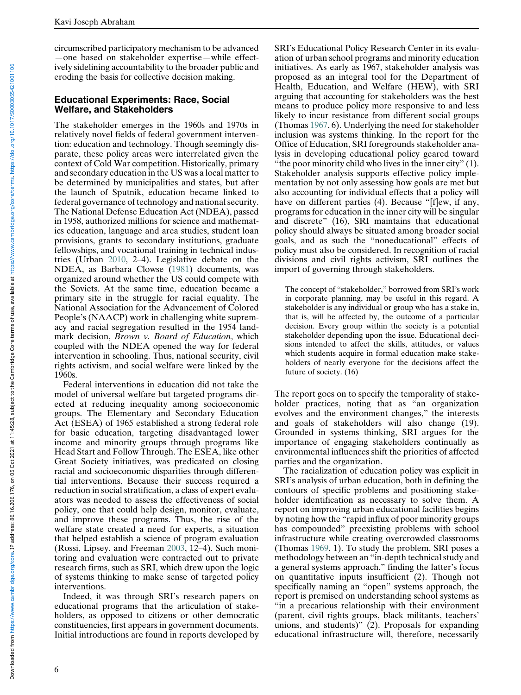circumscribed participatory mechanism to be advanced —one based on stakeholder expertise—while effectively sidelining accountability to the broader public and eroding the basis for collective decision making.

#### Educational Experiments: Race, Social Welfare, and Stakeholders

The stakeholder emerges in the 1960s and 1970s in relatively novel fields of federal government intervention: education and technology. Though seemingly disparate, these policy areas were interrelated given the context of Cold War competition. Historically, primary and secondary education in the US was a local matter to be determined by municipalities and states, but after the launch of Sputnik, education became linked to federal governance of technology and national security. The National Defense Education Act (NDEA), passed in 1958, authorized millions for science and mathematics education, language and area studies, student loan provisions, grants to secondary institutions, graduate fellowships, and vocational training in technical industries (Urban 2010, 2–4). Legislative debate on the NDEA, as Barbara Clowse (1981) documents, was organized around whether the US could compete with the Soviets. At the same time, education became a primary site in the struggle for racial equality. The National Association for the Advancement of Colored People's (NAACP) work in challenging white supremacy and racial segregation resulted in the 1954 landmark decision, Brown v. Board of Education, which coupled with the NDEA opened the way for federal intervention in schooling. Thus, national security, civil rights activism, and social welfare were linked by the 1960s.

Federal interventions in education did not take the model of universal welfare but targeted programs directed at reducing inequality among socioeconomic groups. The Elementary and Secondary Education Act (ESEA) of 1965 established a strong federal role for basic education, targeting disadvantaged lower income and minority groups through programs like Head Start and Follow Through. The ESEA, like other Great Society initiatives, was predicated on closing racial and socioeconomic disparities through differential interventions. Because their success required a reduction in social stratification, a class of expert evaluators was needed to assess the effectiveness of social policy, one that could help design, monitor, evaluate, and improve these programs. Thus, the rise of the welfare state created a need for experts, a situation that helped establish a science of program evaluation (Rossi, Lipsey, and Freeman 2003, 12–4). Such monitoring and evaluation were contracted out to private research firms, such as SRI, which drew upon the logic of systems thinking to make sense of targeted policy interventions.

Indeed, it was through SRI's research papers on educational programs that the articulation of stakeholders, as opposed to citizens or other democratic constituencies, first appears in government documents. Initial introductions are found in reports developed by

SRI's Educational Policy Research Center in its evaluation of urban school programs and minority education initiatives. As early as 1967, stakeholder analysis was proposed as an integral tool for the Department of Health, Education, and Welfare (HEW), with SRI arguing that accounting for stakeholders was the best means to produce policy more responsive to and less likely to incur resistance from different social groups (Thomas 1967, 6). Underlying the need for stakeholder inclusion was systems thinking. In the report for the Office of Education, SRI foregrounds stakeholder analysis in developing educational policy geared toward "the poor minority child who lives in the inner city" (1). Stakeholder analysis supports effective policy implementation by not only assessing how goals are met but also accounting for individual effects that a policy will have on different parties (4). Because "[f]ew, if any, programs for education in the inner city will be singular and discrete" (16), SRI maintains that educational policy should always be situated among broader social goals, and as such the "noneducational" effects of policy must also be considered. In recognition of racial divisions and civil rights activism, SRI outlines the import of governing through stakeholders.

The concept of "stakeholder," borrowed from SRI's work in corporate planning, may be useful in this regard. A stakeholder is any individual or group who has a stake in, that is, will be affected by, the outcome of a particular decision. Every group within the society is a potential stakeholder depending upon the issue. Educational decisions intended to affect the skills, attitudes, or values which students acquire in formal education make stakeholders of nearly everyone for the decisions affect the future of society. (16)

The report goes on to specify the temporality of stakeholder practices, noting that as "an organization evolves and the environment changes," the interests and goals of stakeholders will also change (19). Grounded in systems thinking, SRI argues for the importance of engaging stakeholders continually as environmental influences shift the priorities of affected parties and the organization.

The racialization of education policy was explicit in SRI's analysis of urban education, both in defining the contours of specific problems and positioning stakeholder identification as necessary to solve them. A report on improving urban educational facilities begins by noting how the "rapid influx of poor minority groups has compounded" preexisting problems with school infrastructure while creating overcrowded classrooms (Thomas 1969, 1). To study the problem, SRI poses a methodology between an "in-depth technical study and a general systems approach," finding the latter's focus on quantitative inputs insufficient (2). Though not specifically naming an "open" systems approach, the report is premised on understanding school systems as "in a precarious relationship with their environment (parent, civil rights groups, black militants, teachers' unions, and students)" (2). Proposals for expanding educational infrastructure will, therefore, necessarily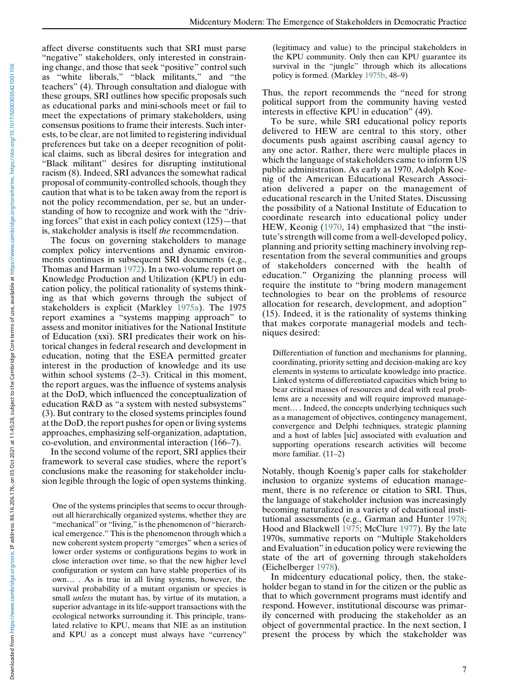affect diverse constituents such that SRI must parse "negative" stakeholders, only interested in constraining change, and those that seek "positive" control such as "white liberals," "black militants," and "the teachers" (4). Through consultation and dialogue with these groups, SRI outlines how specific proposals such as educational parks and mini-schools meet or fail to meet the expectations of primary stakeholders, using consensus positions to frame their interests. Such interests, to be clear, are not limited to registering individual preferences but take on a deeper recognition of political claims, such as liberal desires for integration and "Black militant" desires for disrupting institutional racism (8). Indeed, SRI advances the somewhat radical proposal of community-controlled schools, though they caution that what is to be taken away from the report is not the policy recommendation, per se, but an understanding of how to recognize and work with the "driving forces" that exist in each policy context (125)—that is, stakeholder analysis is itself the recommendation.

The focus on governing stakeholders to manage complex policy interventions and dynamic environments continues in subsequent SRI documents (e.g., Thomas and Harman 1972). In a two-volume report on Knowledge Production and Utilization (KPU) in education policy, the political rationality of systems thinking as that which governs through the subject of stakeholders is explicit (Markley 1975a). The 1975 report examines a "systems mapping approach" to assess and monitor initiatives for the National Institute of Education (xxi). SRI predicates their work on historical changes in federal research and development in education, noting that the ESEA permitted greater interest in the production of knowledge and its use within school systems  $(2-3)$ . Critical in this moment, the report argues, was the influence of systems analysis at the DoD, which influenced the conceptualization of education R&D as "a system with nested subsystems" (3). But contrary to the closed systems principles found at the DoD, the report pushes for open or living systems approaches, emphasizing self-organization, adaptation, co-evolution, and environmental interaction (166–7).

In the second volume of the report, SRI applies their framework to several case studies, where the report's conclusions make the reasoning for stakeholder inclusion legible through the logic of open systems thinking.

One of the systems principles that seems to occur throughout all hierarchically organized systems, whether they are "mechanical" or "living," is the phenomenon of "hierarchical emergence." This is the phenomenon through which a new coherent system property "emerges" when a series of lower order systems or configurations begins to work in close interaction over time, so that the new higher level configuration or system can have stable properties of its own… . As is true in all living systems, however, the survival probability of a mutant organism or species is small unless the mutant has, by virtue of its mutation, a superior advantage in its life-support transactions with the ecological networks surrounding it. This principle, translated relative to KPU, means that NIE as an institution and KPU as a concept must always have "currency"

(legitimacy and value) to the principal stakeholders in the KPU community. Only then can KPU guarantee its survival in the "jungle" through which its allocations policy is formed. (Markley 1975b, 48–9)

Thus, the report recommends the "need for strong political support from the community having vested interests in effective KPU in education" (49).

To be sure, while SRI educational policy reports delivered to HEW are central to this story, other documents push against ascribing causal agency to any one actor. Rather, there were multiple places in which the language of stakeholders came to inform US public administration. As early as 1970, Adolph Koenig of the American Educational Research Association delivered a paper on the management of educational research in the United States. Discussing the possibility of a National Institute of Education to coordinate research into educational policy under HEW, Keonig (1970, 14) emphasized that "the institute's strength will come from a well-developed policy, planning and priority setting machinery involving representation from the several communities and groups of stakeholders concerned with the health of education." Organizing the planning process will require the institute to "bring modern management technologies to bear on the problems of resource allocation for research, development, and adoption" (15). Indeed, it is the rationality of systems thinking that makes corporate managerial models and techniques desired:

Differentiation of function and mechanisms for planning, coordinating, priority setting and decision-making are key elements in systems to articulate knowledge into practice. Linked systems of differentiated capacities which bring to bear critical masses of resources and deal with real problems are a necessity and will require improved management… . Indeed, the concepts underlying techniques such as a management of objectives, contingency management, convergence and Delphi techniques, strategic planning and a host of lables [sic] associated with evaluation and supporting operations research activities will become more familiar. (11–2)

Notably, though Koenig's paper calls for stakeholder inclusion to organize systems of education management, there is no reference or citation to SRI. Thus, the language of stakeholder inclusion was increasingly becoming naturalized in a variety of educational institutional assessments (e.g., Garman and Hunter 1978; Hood and Blackwell 1975; McClure 1977). By the late 1970s, summative reports on "Multiple Stakeholders and Evaluation" in education policy were reviewing the state of the art of governing through stakeholders (Eichelberger 1978).

In midcentury educational policy, then, the stakeholder began to stand in for the citizen or the public as that to which government programs must identify and respond. However, institutional discourse was primarily concerned with producing the stakeholder as an object of governmental practice. In the next section, I present the process by which the stakeholder was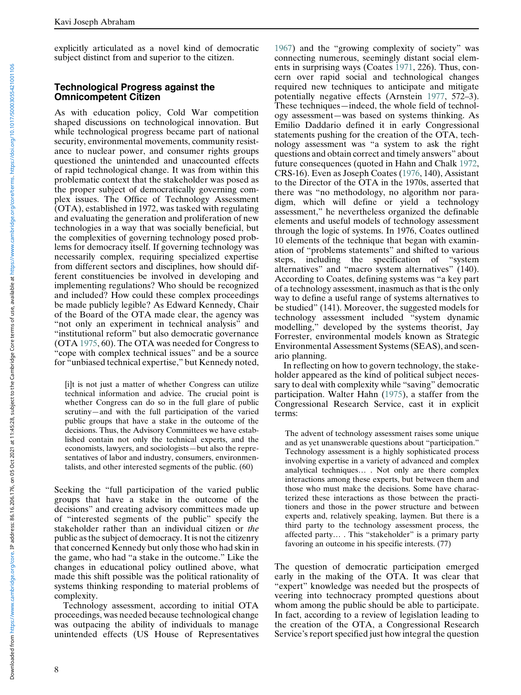explicitly articulated as a novel kind of democratic subject distinct from and superior to the citizen.

#### Technological Progress against the Omnicompetent Citizen

As with education policy, Cold War competition shaped discussions on technological innovation. But while technological progress became part of national security, environmental movements, community resistance to nuclear power, and consumer rights groups questioned the unintended and unaccounted effects of rapid technological change. It was from within this problematic context that the stakeholder was posed as the proper subject of democratically governing complex issues. The Office of Technology Assessment (OTA), established in 1972, was tasked with regulating and evaluating the generation and proliferation of new technologies in a way that was socially beneficial, but the complexities of governing technology posed problems for democracy itself. If governing technology was necessarily complex, requiring specialized expertise from different sectors and disciplines, how should different constituencies be involved in developing and implementing regulations? Who should be recognized and included? How could these complex proceedings be made publicly legible? As Edward Kennedy, Chair of the Board of the OTA made clear, the agency was "not only an experiment in technical analysis" and "institutional reform" but also democratic governance (OTA 1975, 60). The OTA was needed for Congress to "cope with complex technical issues" and be a source for "unbiased technical expertise," but Kennedy noted,

[i]t is not just a matter of whether Congress can utilize technical information and advice. The crucial point is whether Congress can do so in the full glare of public scrutiny—and with the full participation of the varied public groups that have a stake in the outcome of the decisions. Thus, the Advisory Committees we have established contain not only the technical experts, and the economists, lawyers, and sociologists—but also the representatives of labor and industry, consumers, environmentalists, and other interested segments of the public. (60)

Seeking the "full participation of the varied public groups that have a stake in the outcome of the decisions" and creating advisory committees made up of "interested segments of the public" specify the stakeholder rather than an individual citizen or the public as the subject of democracy. It is not the citizenry that concerned Kennedy but only those who had skin in the game, who had "a stake in the outcome." Like the changes in educational policy outlined above, what made this shift possible was the political rationality of systems thinking responding to material problems of complexity.

Technology assessment, according to initial OTA proceedings, was needed because technological change was outpacing the ability of individuals to manage unintended effects (US House of Representatives

1967) and the "growing complexity of society" was connecting numerous, seemingly distant social elements in surprising ways (Coates 1971, 226). Thus, concern over rapid social and technological changes required new techniques to anticipate and mitigate potentially negative effects (Arnstein 1977, 572–3). These techniques—indeed, the whole field of technology assessment—was based on systems thinking. As Emilio Daddario defined it in early Congressional statements pushing for the creation of the OTA, technology assessment was "a system to ask the right questions and obtain correct and timely answers" about future consequences (quoted in Hahn and Chalk 1972, CRS-16). Even as Joseph Coates (1976, 140), Assistant to the Director of the OTA in the 1970s, asserted that there was "no methodology, no algorithm nor paradigm, which will define or yield a technology assessment," he nevertheless organized the definable elements and useful models of technology assessment through the logic of systems. In 1976, Coates outlined 10 elements of the technique that began with examination of "problems statements" and shifted to various steps, including the specification of "system alternatives" and "macro system alternatives" (140). According to Coates, defining systems was "a key part of a technology assessment, inasmuch as that is the only way to define a useful range of systems alternatives to be studied" (141). Moreover, the suggested models for technology assessment included "system dynamic modelling," developed by the systems theorist, Jay Forrester, environmental models known as Strategic Environmental Assessment Systems (SEAS), and scenario planning.

In reflecting on how to govern technology, the stakeholder appeared as the kind of political subject necessary to deal with complexity while "saving" democratic participation. Walter Hahn (1975), a staffer from the Congressional Research Service, cast it in explicit terms:

The advent of technology assessment raises some unique and as yet unanswerable questions about "participation." Technology assessment is a highly sophisticated process involving expertise in a variety of advanced and complex analytical techniques… . Not only are there complex interactions among these experts, but between them and those who must make the decisions. Some have characterized these interactions as those between the practitioners and those in the power structure and between experts and, relatively speaking, laymen. But there is a third party to the technology assessment process, the affected party… . This "stakeholder" is a primary party favoring an outcome in his specific interests. (77)

The question of democratic participation emerged early in the making of the OTA. It was clear that "expert" knowledge was needed but the prospects of veering into technocracy prompted questions about whom among the public should be able to participate. In fact, according to a review of legislation leading to the creation of the OTA, a Congressional Research Service's report specified just how integral the question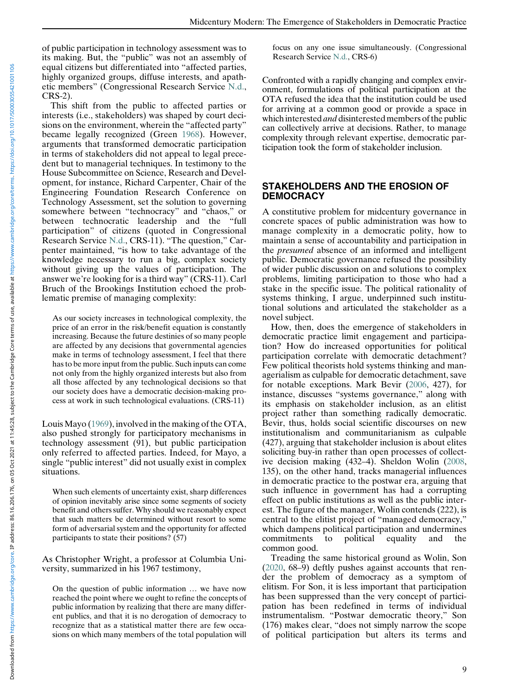of public participation in technology assessment was to its making. But, the "public" was not an assembly of equal citizens but differentiated into "affected parties, highly organized groups, diffuse interests, and apathetic members" (Congressional Research Service N.d., CRS-2).

This shift from the public to affected parties or interests (i.e., stakeholders) was shaped by court decisions on the environment, wherein the "affected party" became legally recognized (Green 1968). However, arguments that transformed democratic participation in terms of stakeholders did not appeal to legal precedent but to managerial techniques. In testimony to the House Subcommittee on Science, Research and Development, for instance, Richard Carpenter, Chair of the Engineering Foundation Research Conference on Technology Assessment, set the solution to governing somewhere between "technocracy" and "chaos," or between technocratic leadership and the "full participation" of citizens (quoted in Congressional Research Service N.d., CRS-11). "The question," Carpenter maintained, "is how to take advantage of the knowledge necessary to run a big, complex society without giving up the values of participation. The answer we're looking for is a third way" (CRS-11). Carl Bruch of the Brookings Institution echoed the problematic premise of managing complexity:

As our society increases in technological complexity, the price of an error in the risk/benefit equation is constantly increasing. Because the future destinies of so many people are affected by any decisions that governmental agencies make in terms of technology assessment, I feel that there has to be more input from the public. Such inputs can come not only from the highly organized interests but also from all those affected by any technological decisions so that our society does have a democratic decision-making process at work in such technological evaluations. (CRS-11)

Louis Mayo (1969), involved in the making of the OTA, also pushed strongly for participatory mechanisms in technology assessment (91), but public participation only referred to affected parties. Indeed, for Mayo, a single "public interest" did not usually exist in complex situations.

When such elements of uncertainty exist, sharp differences of opinion inevitably arise since some segments of society benefit and others suffer. Why should we reasonably expect that such matters be determined without resort to some form of adversarial system and the opportunity for affected participants to state their positions? (57)

As Christopher Wright, a professor at Columbia University, summarized in his 1967 testimony,

On the question of public information … we have now reached the point where we ought to refine the concepts of public information by realizing that there are many different publics, and that it is no derogation of democracy to recognize that as a statistical matter there are few occasions on which many members of the total population will focus on any one issue simultaneously. (Congressional Research Service N.d., CRS-6)

Confronted with a rapidly changing and complex environment, formulations of political participation at the OTA refused the idea that the institution could be used for arriving at a common good or provide a space in which interested *and* disinterested members of the public can collectively arrive at decisions. Rather, to manage complexity through relevant expertise, democratic participation took the form of stakeholder inclusion.

#### STAKEHOLDERS AND THE EROSION OF **DEMOCRACY**

A constitutive problem for midcentury governance in concrete spaces of public administration was how to manage complexity in a democratic polity, how to maintain a sense of accountability and participation in the presumed absence of an informed and intelligent public. Democratic governance refused the possibility of wider public discussion on and solutions to complex problems, limiting participation to those who had a stake in the specific issue. The political rationality of systems thinking, I argue, underpinned such institutional solutions and articulated the stakeholder as a novel subject.

How, then, does the emergence of stakeholders in democratic practice limit engagement and participation? How do increased opportunities for political participation correlate with democratic detachment? Few political theorists hold systems thinking and managerialism as culpable for democratic detachment, save for notable exceptions. Mark Bevir (2006, 427), for instance, discusses "systems governance," along with its emphasis on stakeholder inclusion, as an elitist project rather than something radically democratic. Bevir, thus, holds social scientific discourses on new institutionalism and communitarianism as culpable (427), arguing that stakeholder inclusion is about elites soliciting buy-in rather than open processes of collective decision making (432–4). Sheldon Wolin (2008, 135), on the other hand, tracks managerial influences in democratic practice to the postwar era, arguing that such influence in government has had a corrupting effect on public institutions as well as the public interest. The figure of the manager, Wolin contends (222), is central to the elitist project of "managed democracy," which dampens political participation and undermines commitments to political equality and the common good.

Treading the same historical ground as Wolin, Son (2020, 68–9) deftly pushes against accounts that render the problem of democracy as a symptom of elitism. For Son, it is less important that participation has been suppressed than the very concept of participation has been redefined in terms of individual instrumentalism. "Postwar democratic theory," Son (176) makes clear, "does not simply narrow the scope of political participation but alters its terms and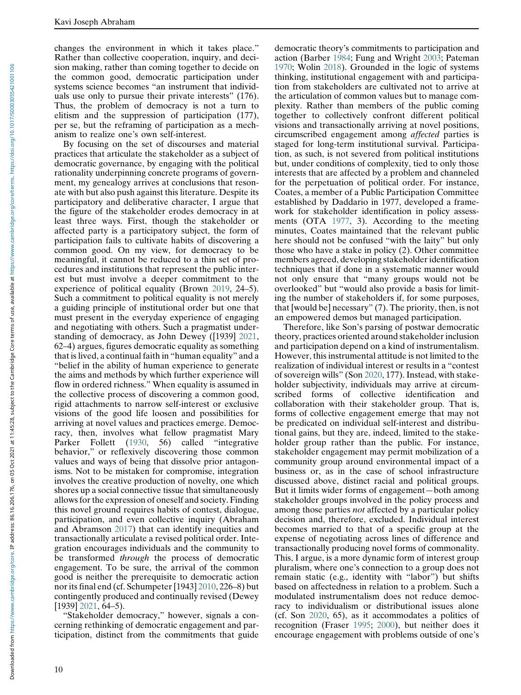changes the environment in which it takes place." Rather than collective cooperation, inquiry, and decision making, rather than coming together to decide on the common good, democratic participation under systems science becomes "an instrument that individuals use only to pursue their private interests" (176). Thus, the problem of democracy is not a turn to elitism and the suppression of participation (177), per se, but the reframing of participation as a mechanism to realize one's own self-interest.

By focusing on the set of discourses and material practices that articulate the stakeholder as a subject of democratic governance, by engaging with the political rationality underpinning concrete programs of government, my genealogy arrives at conclusions that resonate with but also push against this literature. Despite its participatory and deliberative character, I argue that the figure of the stakeholder erodes democracy in at least three ways. First, though the stakeholder or affected party is a participatory subject, the form of participation fails to cultivate habits of discovering a common good. On my view, for democracy to be meaningful, it cannot be reduced to a thin set of procedures and institutions that represent the public interest but must involve a deeper commitment to the experience of political equality (Brown 2019, 24–5). Such a commitment to political equality is not merely a guiding principle of institutional order but one that must present in the everyday experience of engaging and negotiating with others. Such a pragmatist understanding of democracy, as John Dewey ([1939] 2021, 62–4) argues, figures democratic equality as something that is lived, a continual faith in "human equality" and a "belief in the ability of human experience to generate the aims and methods by which further experience will flow in ordered richness." When equality is assumed in the collective process of discovering a common good, rigid attachments to narrow self-interest or exclusive visions of the good life loosen and possibilities for arriving at novel values and practices emerge. Democracy, then, involves what fellow pragmatist Mary Parker Follett (1930, 56) called "integrative behavior," or reflexively discovering those common values and ways of being that dissolve prior antagonisms. Not to be mistaken for compromise, integration involves the creative production of novelty, one which shores up a social connective tissue that simultaneously allows for the expression of oneself and society. Finding this novel ground requires habits of contest, dialogue, participation, and even collective inquiry (Abraham and Abramson 2017) that can identify inequities and transactionally articulate a revised political order. Integration encourages individuals and the community to be transformed through the process of democratic engagement. To be sure, the arrival of the common good is neither the prerequisite to democratic action nor its final end (cf. Schumpeter [1943] 2010, 226–8) but contingently produced and continually revised (Dewey [1939] 2021, 64–5).

"Stakeholder democracy," however, signals a concerning rethinking of democratic engagement and participation, distinct from the commitments that guide action (Barber 1984; Fung and Wright 2003; Pateman 1970; Wolin 2018). Grounded in the logic of systems thinking, institutional engagement with and participation from stakeholders are cultivated not to arrive at the articulation of common values but to manage complexity. Rather than members of the public coming together to collectively confront different political visions and transactionally arriving at novel positions, circumscribed engagement among affected parties is staged for long-term institutional survival. Participation, as such, is not severed from political institutions but, under conditions of complexity, tied to only those interests that are affected by a problem and channeled for the perpetuation of political order. For instance, Coates, a member of a Public Participation Committee established by Daddario in 1977, developed a framework for stakeholder identification in policy assessments (OTA 1977, 3). According to the meeting minutes, Coates maintained that the relevant public here should not be confused "with the laity" but only those who have a stake in policy (2). Other committee members agreed, developing stakeholder identification techniques that if done in a systematic manner would not only ensure that "many groups would not be overlooked" but "would also provide a basis for limiting the number of stakeholders if, for some purposes, that [would be] necessary" (7). The priority, then, is not an empowered demos but managed participation.

democratic theory's commitments to participation and

Therefore, like Son's parsing of postwar democratic theory, practices oriented around stakeholder inclusion and participation depend on a kind of instrumentalism. However, this instrumental attitude is not limited to the realization of individual interest or results in a "contest of sovereign wills" (Son 2020, 177). Instead, with stakeholder subjectivity, individuals may arrive at circumscribed forms of collective identification and collaboration with their stakeholder group. That is, forms of collective engagement emerge that may not be predicated on individual self-interest and distributional gains, but they are, indeed, limited to the stakeholder group rather than the public. For instance, stakeholder engagement may permit mobilization of a community group around environmental impact of a business or, as in the case of school infrastructure discussed above, distinct racial and political groups. But it limits wider forms of engagement—both among stakeholder groups involved in the policy process and among those parties *not* affected by a particular policy decision and, therefore, excluded. Individual interest becomes married to that of a specific group at the expense of negotiating across lines of difference and transactionally producing novel forms of commonality. This, I argue, is a more dynamic form of interest group pluralism, where one's connection to a group does not remain static (e.g., identity with "labor") but shifts based on affectedness in relation to a problem. Such a modulated instrumentalism does not reduce democracy to individualism or distributional issues alone (cf. Son 2020, 65), as it accommodates a politics of recognition (Fraser 1995; 2000), but neither does it encourage engagement with problems outside of one's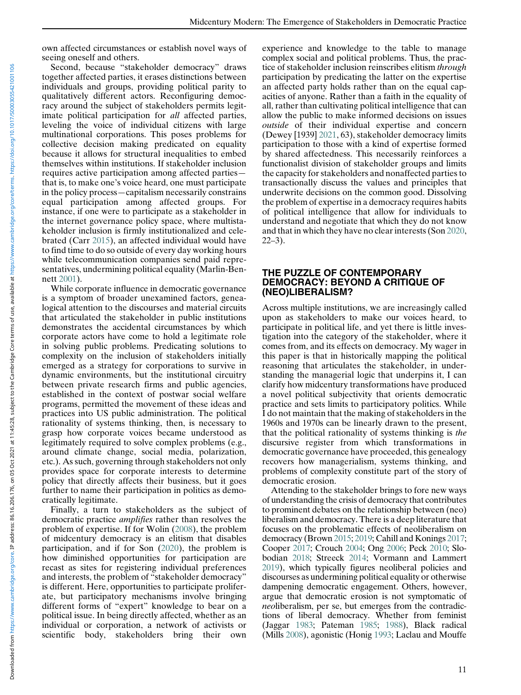own affected circumstances or establish novel ways of seeing oneself and others.

Second, because "stakeholder democracy" draws together affected parties, it erases distinctions between individuals and groups, providing political parity to qualitatively different actors. Reconfiguring democracy around the subject of stakeholders permits legitimate political participation for all affected parties, leveling the voice of individual citizens with large multinational corporations. This poses problems for collective decision making predicated on equality because it allows for structural inequalities to embed themselves within institutions. If stakeholder inclusion requires active participation among affected parties that is, to make one's voice heard, one must participate in the policy process—capitalism necessarily constrains equal participation among affected groups. For instance, if one were to participate as a stakeholder in the internet governance policy space, where multistakeholder inclusion is firmly institutionalized and celebrated (Carr 2015), an affected individual would have to find time to do so outside of every day working hours while telecommunication companies send paid representatives, undermining political equality (Marlin-Benbrated (Carr 2015), an affected individual would have<br>to find time to do so outside of every day working hours<br>while telecommunication companies send paid repre-<br>sentatives, undermining political equality (Marlin-Bennett 2001).

While corporate influence in democratic governance is a symptom of broader unexamined factors, genealogical attention to the discourses and material circuits that articulated the stakeholder in public institutions demonstrates the accidental circumstances by which corporate actors have come to hold a legitimate role in solving public problems. Predicating solutions to complexity on the inclusion of stakeholders initially emerged as a strategy for corporations to survive in dynamic environments, but the institutional circuitry between private research firms and public agencies, established in the context of postwar social welfare programs, permitted the movement of these ideas and practices into US public administration. The political rationality of systems thinking, then, is necessary to grasp how corporate voices became understood as legitimately required to solve complex problems (e.g., around climate change, social media, polarization, etc.). As such, governing through stakeholders not only provides space for corporate interests to determine policy that directly affects their business, but it goes further to name their participation in politics as democratically legitimate.

Finally, a turn to stakeholders as the subject of democratic practice amplifies rather than resolves the problem of expertise. If for Wolin (2008), the problem of midcentury democracy is an elitism that disables participation, and if for Son (2020), the problem is how diminished opportunities for participation are recast as sites for registering individual preferences and interests, the problem of "stakeholder democracy" is different. Here, opportunities to participate proliferate, but participatory mechanisms involve bringing different forms of "expert" knowledge to bear on a political issue. In being directly affected, whether as an individual or corporation, a network of activists or scientific body, stakeholders bring their own

experience and knowledge to the table to manage complex social and political problems. Thus, the practice of stakeholder inclusion reinscribes elitism through participation by predicating the latter on the expertise an affected party holds rather than on the equal capacities of anyone. Rather than a faith in the equality of all, rather than cultivating political intelligence that can allow the public to make informed decisions on issues outside of their individual expertise and concern (Dewey [1939] 2021, 63), stakeholder democracy limits participation to those with a kind of expertise formed by shared affectedness. This necessarily reinforces a functionalist division of stakeholder groups and limits the capacity for stakeholders and nonaffected parties to transactionally discuss the values and principles that underwrite decisions on the common good. Dissolving the problem of expertise in a democracy requires habits of political intelligence that allow for individuals to understand and negotiate that which they do not know and that in which they have no clear interests (Son 2020,  $22-3$ ).

#### THE PUZZLE OF CONTEMPORARY DEMOCRACY: BEYOND A CRITIQUE OF (NEO)LIBERALISM?

Across multiple institutions, we are increasingly called upon as stakeholders to make our voices heard, to participate in political life, and yet there is little investigation into the category of the stakeholder, where it comes from, and its effects on democracy. My wager in this paper is that in historically mapping the political reasoning that articulates the stakeholder, in understanding the managerial logic that underpins it, I can clarify how midcentury transformations have produced a novel political subjectivity that orients democratic practice and sets limits to participatory politics. While I do not maintain that the making of stakeholders in the 1960s and 1970s can be linearly drawn to the present, that the political rationality of systems thinking is the discursive register from which transformations in democratic governance have proceeded, this genealogy recovers how managerialism, systems thinking, and problems of complexity constitute part of the story of democratic erosion.

Attending to the stakeholder brings to fore new ways of understanding the crisis of democracy that contributes to prominent debates on the relationship between (neo) liberalism and democracy. There is a deep literature that focuses on the problematic effects of neoliberalism on democracy (Brown 2015; 2019; Cahill and Konings 2017; Cooper 2017; Crouch 2004; Ong 2006; Peck 2010; Slobodian 2018; Streeck 2014; Vormann and Lammert 2019), which typically figures neoliberal policies and discourses as undermining political equality or otherwise dampening democratic engagement. Others, however, argue that democratic erosion is not symptomatic of neoliberalism, per se, but emerges from the contradictions of liberal democracy. Whether from feminist (Jaggar 1983; Pateman 1985; 1988), Black radical (Mills 2008), agonistic (Honig 1993; Laclau and Mouffe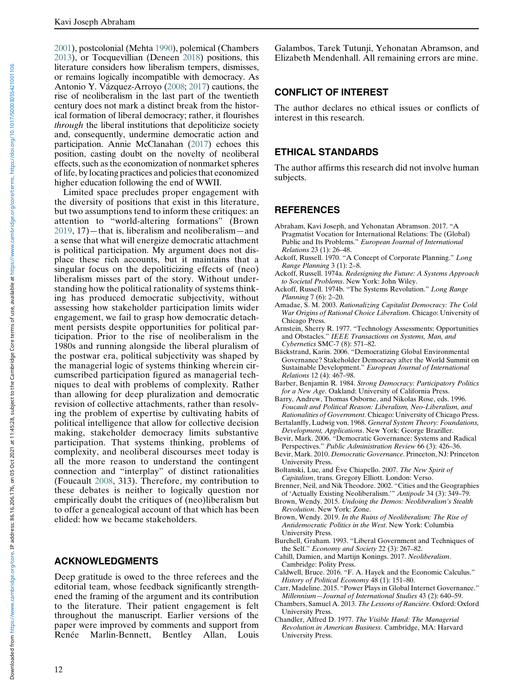2001), postcolonial (Mehta 1990), polemical (Chambers 2013), or Tocquevillian (Deneen 2018) positions, this literature considers how liberalism tempers, dismisses, or remains logically incompatible with democracy. As Antonio Y. Vázquez-Arroyo (2008; 2017) cautions, the rise of neoliberalism in the last part of the twentieth century does not mark a distinct break from the historical formation of liberal democracy; rather, it flourishes through the liberal institutions that depoliticize society and, consequently, undermine democratic action and participation. Annie McClanahan (2017) echoes this position, casting doubt on the novelty of neoliberal effects, such as the economization of nonmarket spheres of life, by locating practices and policies that economized higher education following the end of WWII.

Limited space precludes proper engagement with the diversity of positions that exist in this literature, but two assumptions tend to inform these critiques: an attention to "world-altering formations" (Brown 2019, 17)—that is, liberalism and neoliberalism—and a sense that what will energize democratic attachment is political participation. My argument does not displace these rich accounts, but it maintains that a singular focus on the depoliticizing effects of (neo) liberalism misses part of the story. Without understanding how the political rationality of systems thinking has produced democratic subjectivity, without assessing how stakeholder participation limits wider engagement, we fail to grasp how democratic detachment persists despite opportunities for political participation. Prior to the rise of neoliberalism in the 1980s and running alongside the liberal pluralism of the postwar era, political subjectivity was shaped by the managerial logic of systems thinking wherein circumscribed participation figured as managerial techniques to deal with problems of complexity. Rather than allowing for deep pluralization and democratic revision of collective attachments, rather than resolving the problem of expertise by cultivating habits of political intelligence that allow for collective decision making, stakeholder democracy limits substantive participation. That systems thinking, problems of complexity, and neoliberal discourses meet today is all the more reason to understand the contingent connection and "interplay" of distinct rationalities (Foucault 2008, 313). Therefore, my contribution to these debates is neither to logically question nor empirically doubt the critiques of (neo)liberalism but to offer a genealogical account of that which has been elided: how we became stakeholders.

# ACKNOWLEDGMENTS

Deep gratitude is owed to the three referees and the editorial team, whose feedback significantly strengthened the framing of the argument and its contribution to the literature. Their patient engagement is felt throughout the manuscript. Earlier versions of the paper were improved by comments and support from Renée Marlin-Bennett, Bentley Allan, Louis

Galambos, Tarek Tutunji, Yehonatan Abramson, and Elizabeth Mendenhall. All remaining errors are mine.

# CONFLICT OF INTEREST

The author declares no ethical issues or conflicts of interest in this research.

# ETHICAL STANDARDS

The author affirms this research did not involve human subjects.

#### **REFERENCES**

- Abraham, Kavi Joseph, and Yehonatan Abramson. 2017. "A Pragmatist Vocation for International Relations: The (Global) Public and Its Problems." European Journal of International Relations 23 (1): 26–48.
- Ackoff, Russell. 1970. "A Concept of Corporate Planning." Long Range Planning 3 (1): 2–8.
- Ackoff, Russell. 1974a. Redesigning the Future: A Systems Approach to Societal Problems. New York: John Wiley.
- Ackoff, Russell. 1974b. "The Systems Revolution." Long Range Planning 7 (6): 2–20.
- Amadae, S. M. 2003. Rationalizing Capitalist Democracy: The Cold War Origins of Rational Choice Liberalism. Chicago: University of Chicago Press.
- Arnstein, Sherry R. 1977. "Technology Assessments: Opportunities and Obstacles." IEEE Transactions on Systems, Man, and Cybernetics SMC-7 (8): 571–82.
- Bäckstrand, Karin. 2006. "Democratizing Global Environmental Governance? Stakeholder Democracy after the World Summit on Sustainable Development." European Journal of International Relations 12 (4): 467–98.
- Barber, Benjamin R. 1984. Strong Democracy: Participatory Politics for a New Age. Oakland: University of California Press.

Barry, Andrew, Thomas Osborne, and Nikolas Rose, eds. 1996. Foucault and Political Reason: Liberalism, Neo-Liberalism, and Rationalities of Government. Chicago: University of Chicago Press.

- Bertalanffy, Ludwig von. 1968. General System Theory: Foundations, Development, Applications. New York: George Braziller.
- Bevir, Mark. 2006. "Democratic Governance: Systems and Radical Perspectives." Public Administration Review 66 (3): 426–36.
- Bevir, Mark. 2010. Democratic Governance. Princeton, NJ: Princeton University Press.
- Boltanski, Luc, and Ève Chiapello. 2007. The New Spirit of Capitalism, trans. Gregory Elliott. London: Verso.
- Brenner, Neil, and Nik Theodore. 2002. "Cities and the Geographies of 'Actually Existing Neoliberalism.'" Antipode 34 (3): 349–79.
- Brown, Wendy. 2015. Undoing the Demos: Neoliberalism's Stealth Revolution. New York: Zone.
- Brown, Wendy. 2019. In the Ruins of Neoliberalism: The Rise of Antidemocratic Politics in the West. New York: Columbia University Press.
- Burchell, Graham. 1993. "Liberal Government and Techniques of the Self." Economy and Society 22 (3): 267–82.
- Cahill, Damien, and Martijn Konings. 2017. Neoliberalism. Cambridge: Polity Press.
- Caldwell, Bruce. 2016. "F. A. Hayek and the Economic Calculus." History of Political Economy 48 (1): 151–80.
- Carr, Madeline. 2015. "Power Plays in Global Internet Governance." Millennium—Journal of International Studies 43 (2): 640–59.
- Chambers, Samuel A. 2013. The Lessons of Rancière. Oxford: Oxford University Press.
- Chandler, Alfred D. 1977. The Visible Hand: The Managerial Revolution in American Business. Cambridge, MA: Harvard University Press.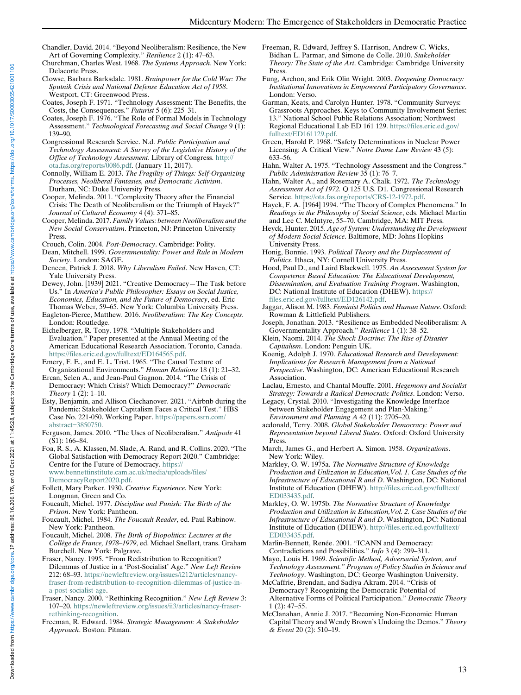- Chandler, David. 2014. "Beyond Neoliberalism: Resilience, the New Art of Governing Complexity." Resilience 2 (1): 47–63.
- Churchman, Charles West. 1968. The Systems Approach. New York: Delacorte Press.
- Clowse, Barbara Barksdale. 1981. Brainpower for the Cold War: The Sputnik Crisis and National Defense Education Act of 1958. Westport, CT: Greenwood Press.
- Coates, Joseph F. 1971. "Technology Assessment: The Benefits, the Costs, the Consequences." Futurist 5 (6): 225–31.
- Coates, Joseph F. 1976. "The Role of Formal Models in Technology Assessment." Technological Forecasting and Social Change 9 (1): 139–90.
- Congressional Research Service. N.d. Public Participation and Technology Assessment: A Survey of the Legislative History of the Office of Technology Assessment. Library of Congress. [http://](http://ota.fas.org/reports/0086.pdf) [ota.fas.org/reports/0086.pdf](http://ota.fas.org/reports/0086.pdf). (January 11, 2017).
- Connolly, William E. 2013. The Fragility of Things: Self-Organizing Processes, Neoliberal Fantasies, and Democratic Activism. Durham, NC: Duke University Press.
- Cooper, Melinda. 2011. "Complexity Theory after the Financial Crisis: The Death of Neoliberalism or the Triumph of Hayek?" Journal of Cultural Economy 4 (4): 371–85.
- Cooper, Melinda. 2017. Family Values: between Neoliberalism and the New Social Conservatism. Princeton, NJ: Princeton University Press.
- Crouch, Colin. 2004. Post-Democracy. Cambridge: Polity.
- Dean, Mitchell. 1999. Governmentality: Power and Rule in Modern Society. London: SAGE.
- Deneen, Patrick J. 2018. Why Liberalism Failed. New Haven, CT: Yale University Press.
- Dewey, John. [1939] 2021. "Creative Democracy—The Task before Us." In America's Public Philosopher: Essays on Social Justice, Economics, Education, and the Future of Democracy, ed. Eric Thomas Weber, 59–65. New York: Columbia University Press.
- Eagleton-Pierce, Matthew. 2016. Neoliberalism: The Key Concepts. London: Routledge.
- Eichelberger, R. Tony. 1978. "Multiple Stakeholders and Evaluation." Paper presented at the Annual Meeting of the American Educational Research Association. Toronto, Canada. [https://files.eric.ed.gov/fulltext/ED164565.pdf.](https://files.eric.ed.gov/fulltext/ED164565.pdf)
- Emery, F. E., and E. L. Trist. 1965. "The Causal Texture of Organizational Environments." Human Relations 18 (1): 21–32.
- Ercan, Selen A., and Jean-Paul Gagnon. 2014. "The Crisis of Democracy: Which Crisis? Which Democracy?" Democratic Theory 1 (2): 1–10.
- Esty, Benjamin, and Allison Ciechanover. 2021. "Airbnb during the Pandemic: Stakeholder Capitalism Faces a Critical Test." HBS Case No. 221-050. Working Paper. [https://papers.ssrn.com/](https://papers.ssrn.com/abstract=3850750) [abstract=3850750.](https://papers.ssrn.com/abstract=3850750)
- Ferguson, James. 2010. "The Uses of Neoliberalism." Antipode 41 (S1): 166–84.
- Foa, R. S., A. Klassen, M. Slade, A. Rand, and R. Collins. 2020. "The Global Satisfaction with Democracy Report 2020." Cambridge: Centre for the Future of Democracy. [https://](https://www.bennettinstitute.cam.ac.uk/media/uploads/files/DemocracyReport2020.pdf) [www.bennettinstitute.cam.ac.uk/media/uploads/files/](https://www.bennettinstitute.cam.ac.uk/media/uploads/files/DemocracyReport2020.pdf) [DemocracyReport2020.pdf](https://www.bennettinstitute.cam.ac.uk/media/uploads/files/DemocracyReport2020.pdf).
- Follett, Mary Parker. 1930. Creative Experience. New York: Longman, Green and Co.
- Foucault, Michel. 1977. Discipline and Punish: The Birth of the Prison. New York: Pantheon.
- Foucault, Michel. 1984. The Foucault Reader, ed. Paul Rabinow. New York: Pantheon.
- Foucault, Michel. 2008. The Birth of Biopolitics: Lectures at the Collège de France, 1978–1979, ed. Michael Snellart, trans. Graham Burchell. New York: Palgrave.
- Fraser, Nancy. 1995. "From Redistribution to Recognition? Dilemmas of Justice in a 'Post-Socialist' Age." New Left Review 212: 68–93. [https://newleftreview.org/issues/i212/articles/nancy](https://newleftreview.org/issues/i212/articles/nancy-fraser-from-redistribution-to-recognition-dilemmas-of-justice-in-a-post-socialist-age)[fraser-from-redistribution-to-recognition-dilemmas-of-justice-in](https://newleftreview.org/issues/i212/articles/nancy-fraser-from-redistribution-to-recognition-dilemmas-of-justice-in-a-post-socialist-age)[a-post-socialist-age.](https://newleftreview.org/issues/i212/articles/nancy-fraser-from-redistribution-to-recognition-dilemmas-of-justice-in-a-post-socialist-age)
- Fraser, Nancy. 2000. "Rethinking Recognition." New Left Review 3: 107–20. [https://newleftreview.org/issues/ii3/articles/nancy-fraser](https://newleftreview.org/issues/ii3/articles/nancy-fraser-rethinking-recognition)[rethinking-recognition.](https://newleftreview.org/issues/ii3/articles/nancy-fraser-rethinking-recognition)
- Freeman, R. Edward. 1984. Strategic Management: A Stakeholder Approach. Boston: Pitman.
- Freeman, R. Edward, Jeffrey S. Harrison, Andrew C. Wicks, Bidhan L. Parmar, and Simone de Colle. 2010. Stakeholder Theory: The State of the Art. Cambridge: Cambridge University Press.
- Fung, Archon, and Erik Olin Wright. 2003. Deepening Democracy: Institutional Innovations in Empowered Participatory Governance. London: Verso.
- Garman, Keats, and Carolyn Hunter. 1978. "Community Surveys: Grassroots Approaches. Keys to Community Involvement Series: 13." National School Public Relations Association; Northwest Regional Educational Lab ED 161 129. [https://files.eric.ed.gov/](https://files.eric.ed.gov/fulltext/ED161129.pdf) [fulltext/ED161129.pdf.](https://files.eric.ed.gov/fulltext/ED161129.pdf)
- Green, Harold P. 1968. "Safety Determinations in Nuclear Power Licensing: A Critical View." Notre Dame Law Review 43 (5): 633–56.
- Hahn, Walter A. 1975. "Technology Assessment and the Congress." Public Administration Review 35 (1): 76–7.
- Hahn, Walter A., and Rosemary A. Chalk. 1972. The Technology Assessment Act of 1972. Q 125 U.S. D1. Congressional Research Service. <https://ota.fas.org/reports/CRS-12-1972.pdf>.
- Hayek, F. A. [1964] 1994. "The Theory of Complex Phenomena." In Readings in the Philosophy of Social Science, eds. Michael Martin and Lee C. McIntyre, 55–70. Cambridge, MA: MIT Press.
- Heyck, Hunter. 2015. Age of System: Understanding the Development of Modern Social Science. Baltimore, MD: Johns Hopkins University Press.
- Honig, Bonnie. 1993. Political Theory and the Displacement of Politics. Ithaca, NY: Cornell University Press.
- Hood, Paul D., and Laird Blackwell. 1975. An Assessment System for Competence Based Education: The Educational Development, Dissemination, and Evaluation Training Program. Washington, DC: National Institute of Education (DHEW). [https://](https://files.eric.ed.gov/fulltext/ED126142.pdf) [files.eric.ed.gov/fulltext/ED126142.pdf.](https://files.eric.ed.gov/fulltext/ED126142.pdf)
- Jaggar, Alison M. 1983. Feminist Politics and Human Nature. Oxford: Rowman & Littlefield Publishers.
- Joseph, Jonathan. 2013. "Resilience as Embedded Neoliberalism: A Governmentality Approach." Resilience 1 (1): 38–52.
- Klein, Naomi. 2014. The Shock Doctrine: The Rise of Disaster Capitalism. London: Penguin UK.
- Koenig, Adolph J. 1970. Educational Research and Development: Implications for Research Management from a National Perspective. Washington, DC: American Educational Research Association.
- Laclau, Ernesto, and Chantal Mouffe. 2001. Hegemony and Socialist Strategy: Towards a Radical Democratic Politics. London: Verso.
- Legacy, Crystal. 2010. "Investigating the Knowledge Interface between Stakeholder Engagement and Plan-Making." Environment and Planning A 42 (11): 2705–20.
- acdonald, Terry. 2008. Global Stakeholder Democracy: Power and Representation beyond Liberal States. Oxford: Oxford University Press.
- March, James G., and Herbert A. Simon. 1958. Organizations. New York: Wiley.
- Markley, O. W. 1975a. The Normative Structure of Knowledge Production and Utilization in Education,Vol. 1. Case Studies of the Infrastructure of Educational R and D. Washington, DC: National Institute of Education (DHEW). [http://files.eric.ed.gov/fulltext/](http://files.eric.ed.gov/fulltext/ED033435.pdf) [ED033435.pdf](http://files.eric.ed.gov/fulltext/ED033435.pdf).
- Markley, O. W. 1975b. The Normative Structure of Knowledge Production and Utilization in Education,Vol. 2. Case Studies of the Infrastructure of Educational R and D. Washington, DC: National Institute of Education (DHEW). [http://files.eric.ed.gov/fulltext/](http://files.eric.ed.gov/fulltext/ED033435.pdf) [ED033435.pdf](http://files.eric.ed.gov/fulltext/ED033435.pdf).
- Marlin‐Bennett, Renée. 2001. "ICANN and Democracy: Contradictions and Possibilities." Info 3 (4): 299–311.
- Mayo, Louis H. 1969. Scientific Method, Adversarial System, and Technology Assessment." Program of Policy Studies in Science and Technology. Washington, DC: George Washington University.
- McCaffrie, Brendan, and Sadiya Akram. 2014. "Crisis of Democracy? Recognizing the Democratic Potential of Alternative Forms of Political Participation." Democratic Theory 1 (2): 47–55.
- McClanahan, Annie J. 2017. "Becoming Non-Economic: Human Capital Theory and Wendy Brown's Undoing the Demos." Theory & Event 20 (2): 510–19.